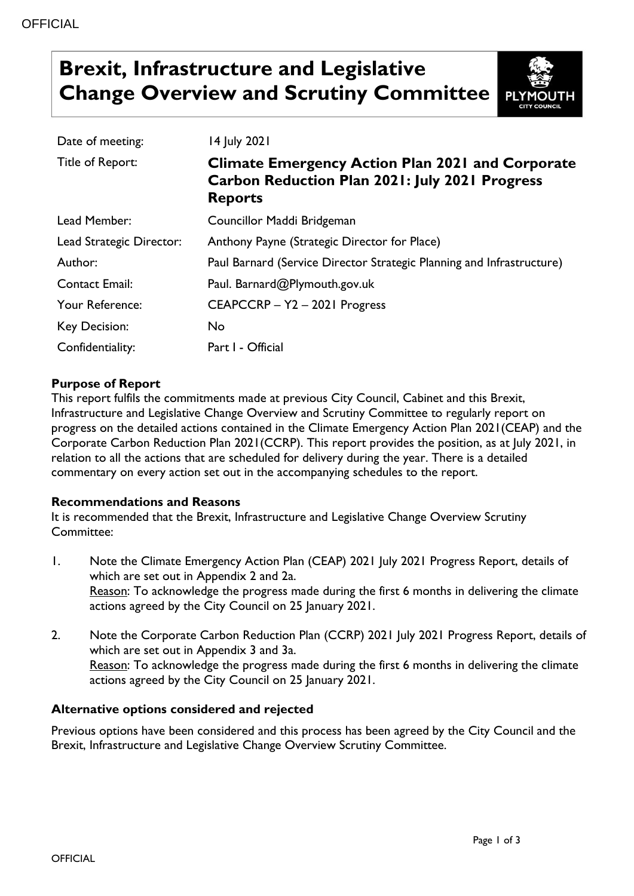# **Brexit, Infrastructure and Legislative Change Overview and Scrutiny Committee**



| Date of meeting:         | 14 July 2021                                                                                                                       |
|--------------------------|------------------------------------------------------------------------------------------------------------------------------------|
| Title of Report:         | <b>Climate Emergency Action Plan 2021 and Corporate</b><br><b>Carbon Reduction Plan 2021: July 2021 Progress</b><br><b>Reports</b> |
| Lead Member:             | Councillor Maddi Bridgeman                                                                                                         |
| Lead Strategic Director: | Anthony Payne (Strategic Director for Place)                                                                                       |
| Author:                  | Paul Barnard (Service Director Strategic Planning and Infrastructure)                                                              |
| <b>Contact Email:</b>    | Paul. Barnard@Plymouth.gov.uk                                                                                                      |
| Your Reference:          | CEAPCCRP - Y2 - 2021 Progress                                                                                                      |
| Key Decision:            | No                                                                                                                                 |
| Confidentiality:         | Part I - Official                                                                                                                  |

# **Purpose of Report**

This report fulfils the commitments made at previous City Council, Cabinet and this Brexit, Infrastructure and Legislative Change Overview and Scrutiny Committee to regularly report on progress on the detailed actions contained in the Climate Emergency Action Plan 2021(CEAP) and the Corporate Carbon Reduction Plan 2021(CCRP). This report provides the position, as at July 2021, in relation to all the actions that are scheduled for delivery during the year. There is a detailed commentary on every action set out in the accompanying schedules to the report.

### **Recommendations and Reasons**

It is recommended that the Brexit, Infrastructure and Legislative Change Overview Scrutiny Committee:

- 1. Note the Climate Emergency Action Plan (CEAP) 2021 July 2021 Progress Report, details of which are set out in Appendix 2 and 2a. Reason: To acknowledge the progress made during the first 6 months in delivering the climate actions agreed by the City Council on 25 January 2021.
- 2. Note the Corporate Carbon Reduction Plan (CCRP) 2021 July 2021 Progress Report, details of which are set out in Appendix 3 and 3a. Reason: To acknowledge the progress made during the first 6 months in delivering the climate actions agreed by the City Council on 25 January 2021.

### **Alternative options considered and rejected**

Previous options have been considered and this process has been agreed by the City Council and the Brexit, Infrastructure and Legislative Change Overview Scrutiny Committee.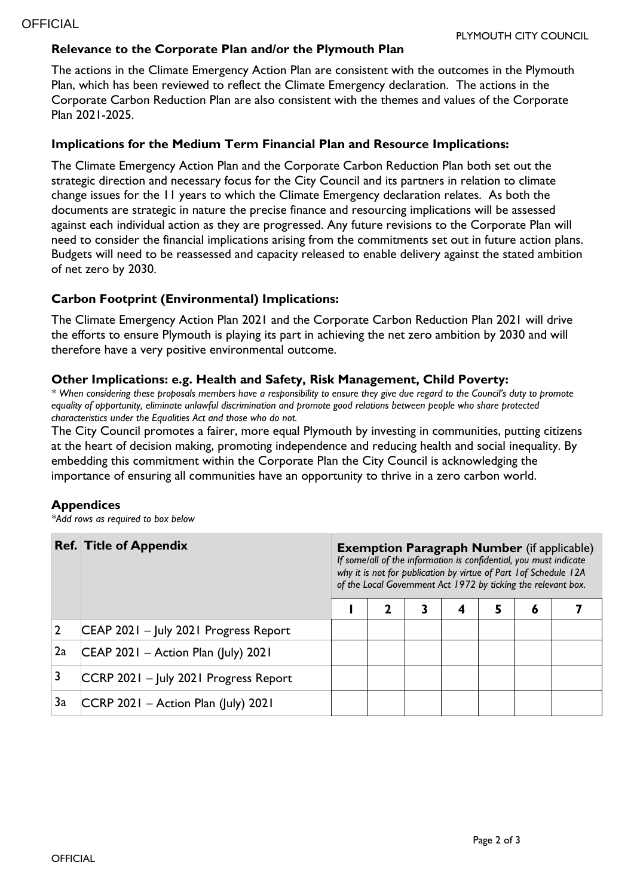# **Relevance to the Corporate Plan and/or the Plymouth Plan**

The actions in the Climate Emergency Action Plan are consistent with the outcomes in the Plymouth Plan, which has been reviewed to reflect the Climate Emergency declaration. The actions in the Corporate Carbon Reduction Plan are also consistent with the themes and values of the Corporate Plan 2021-2025.

## **Implications for the Medium Term Financial Plan and Resource Implications:**

The Climate Emergency Action Plan and the Corporate Carbon Reduction Plan both set out the strategic direction and necessary focus for the City Council and its partners in relation to climate change issues for the 11 years to which the Climate Emergency declaration relates. As both the documents are strategic in nature the precise finance and resourcing implications will be assessed against each individual action as they are progressed. Any future revisions to the Corporate Plan will need to consider the financial implications arising from the commitments set out in future action plans. Budgets will need to be reassessed and capacity released to enable delivery against the stated ambition of net zero by 2030.

## **Carbon Footprint (Environmental) Implications:**

The Climate Emergency Action Plan 2021 and the Corporate Carbon Reduction Plan 2021 will drive the efforts to ensure Plymouth is playing its part in achieving the net zero ambition by 2030 and will therefore have a very positive environmental outcome.

## **Other Implications: e.g. Health and Safety, Risk Management, Child Poverty:**

*\* When considering these proposals members have a responsibility to ensure they give due regard to the Council's duty to promote equality of opportunity, eliminate unlawful discrimination and promote good relations between people who share protected characteristics under the Equalities Act and those who do not.*

The City Council promotes a fairer, more equal Plymouth by investing in communities, putting citizens at the heart of decision making, promoting independence and reducing health and social inequality. By embedding this commitment within the Corporate Plan the City Council is acknowledging the importance of ensuring all communities have an opportunity to thrive in a zero carbon world.

### **Appendices**

*\*Add rows as required to box below*

|    | <b>Ref. Title of Appendix</b>          | <b>Exemption Paragraph Number</b> (if applicable)<br>If some/all of the information is confidential, you must indicate<br>why it is not for publication by virtue of Part 1 of Schedule 12A<br>of the Local Government Act 1972 by ticking the relevant box. |  |   |   |   |   |  |
|----|----------------------------------------|--------------------------------------------------------------------------------------------------------------------------------------------------------------------------------------------------------------------------------------------------------------|--|---|---|---|---|--|
|    |                                        |                                                                                                                                                                                                                                                              |  | 3 | 4 | 5 | 6 |  |
|    | CEAP 2021 - July 2021 Progress Report  |                                                                                                                                                                                                                                                              |  |   |   |   |   |  |
| 2a | $ CEAP 2021 -$ Action Plan (July) 2021 |                                                                                                                                                                                                                                                              |  |   |   |   |   |  |
|    | CCRP 2021 - July 2021 Progress Report  |                                                                                                                                                                                                                                                              |  |   |   |   |   |  |
| 3a | $ CCRP 2021 -$ Action Plan (July) 2021 |                                                                                                                                                                                                                                                              |  |   |   |   |   |  |